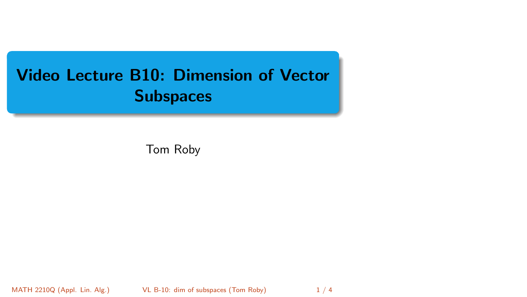# <span id="page-0-0"></span>Video Lecture B10: Dimension of Vector **Subspaces**

Tom Roby

MATH 2210Q (Appl. Lin. Alg.) [VL B-10: dim of subspaces](#page-3-0) (Tom Roby) 1/4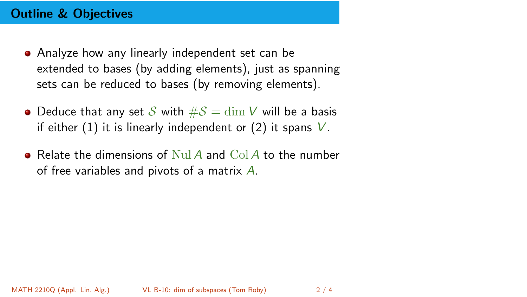### Outline & Objectives

- Analyze how any linearly independent set can be extended to bases (by adding elements), just as spanning sets can be reduced to bases (by removing elements).
- Deduce that any set S with  $\#\mathcal{S} = \dim V$  will be a basis if either  $(1)$  it is linearly independent or  $(2)$  it spans V.
- **•** Relate the dimensions of Nul A and Col A to the number of free variables and pivots of a matrix  $\ddot{A}$ .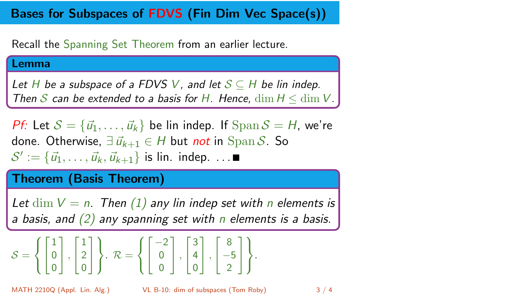## Bases for Subspaces of FDVS (Fin Dim Vec Space(s))

Recall the Spanning Set Theorem from an earlier lecture.

#### Lemma

Let H be a subspace of a FDVS V, and let  $S \subseteq H$  be lin indep. Then S can be extended to a basis for H. Hence,  $\dim H \leq \dim V$ .

*Pf*: Let  $S = {\vec{u}_1, \dots, \vec{u}_k}$  be lin indep. If  $\text{Span } S = H$ , we're done. Otherwise,  $\exists \vec{u}_{k+1} \in H$  but not in Span S. So  $\mathcal{S}' := \{\vec{u}_1, \ldots, \vec{u}_k, \vec{u}_{k+1}\}$  is lin. indep. ...

### Theorem (Basis Theorem)

Let  $\dim V = n$ . Then (1) any lin indep set with n elements is a basis, and  $(2)$  any spanning set with n elements is a basis.

$$
S = \left\{ \begin{bmatrix} 1 \\ 0 \\ 0 \end{bmatrix}, \begin{bmatrix} 1 \\ 2 \\ 0 \end{bmatrix} \right\}.
$$
 
$$
\mathcal{R} = \left\{ \begin{bmatrix} -2 \\ 0 \\ 0 \end{bmatrix}, \begin{bmatrix} 3 \\ 4 \\ 0 \end{bmatrix}, \begin{bmatrix} 8 \\ -5 \\ 2 \end{bmatrix} \right\}.
$$

$$
3 \; / \; 4
$$